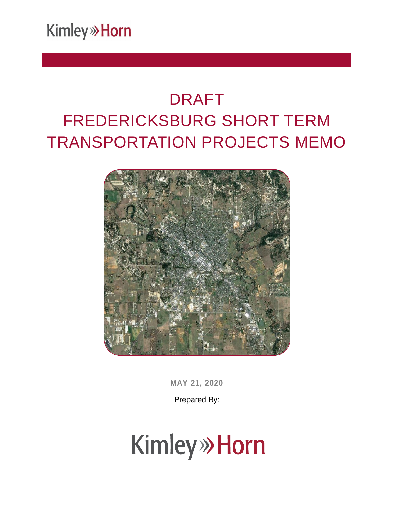**Kimley» Horn** 

### DRAFT FREDERICKSBURG SHORT TERM TRANSPORTATION PROJECTS MEMO



**MAY 21, 2020**

Prepared By:

# **Kimley» Horn**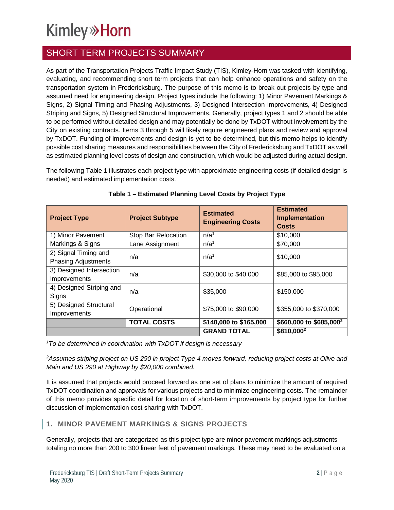### **Kimley»Horn**

### SHORT TERM PROJECTS SUMMARY

As part of the Transportation Projects Traffic Impact Study (TIS), Kimley-Horn was tasked with identifying, evaluating, and recommending short term projects that can help enhance operations and safety on the transportation system in Fredericksburg. The purpose of this memo is to break out projects by type and assumed need for engineering design. Project types include the following: 1) Minor Pavement Markings & Signs, 2) Signal Timing and Phasing Adjustments, 3) Designed Intersection Improvements, 4) Designed Striping and Signs, 5) Designed Structural Improvements. Generally, project types 1 and 2 should be able to be performed without detailed design and may potentially be done by TxDOT without involvement by the City on existing contracts. Items 3 through 5 will likely require engineered plans and review and approval by TxDOT. Funding of improvements and design is yet to be determined, but this memo helps to identify possible cost sharing measures and responsibilities between the City of Fredericksburg and TxDOT as well as estimated planning level costs of design and construction, which would be adjusted during actual design.

The following Table 1 illustrates each project type with approximate engineering costs (if detailed design is needed) and estimated implementation costs.

| <b>Project Type</b>                                | <b>Project Subtype</b> | <b>Estimated</b><br><b>Engineering Costs</b> | <b>Estimated</b><br>Implementation<br><b>Costs</b> |
|----------------------------------------------------|------------------------|----------------------------------------------|----------------------------------------------------|
| 1) Minor Pavement                                  | Stop Bar Relocation    | n/a <sup>1</sup>                             | \$10,000                                           |
| Markings & Signs                                   | Lane Assignment        | n/a <sup>1</sup>                             | \$70,000                                           |
| 2) Signal Timing and<br><b>Phasing Adjustments</b> | n/a                    | n/a <sup>1</sup>                             | \$10,000                                           |
| 3) Designed Intersection<br>Improvements           | n/a                    | \$30,000 to \$40,000                         | \$85,000 to \$95,000                               |
| 4) Designed Striping and<br>Signs                  | n/a                    | \$35,000                                     | \$150,000                                          |
| 5) Designed Structural<br><b>Improvements</b>      | Operational            | \$75,000 to \$90,000                         | \$355,000 to \$370,000                             |
|                                                    | <b>TOTAL COSTS</b>     | \$140,000 to \$165,000                       | \$660,000 to \$685,000 <sup>2</sup>                |
|                                                    |                        | <b>GRAND TOTAL</b>                           | \$810,000 <sup>2</sup>                             |

| Table 1 - Estimated Planning Level Costs by Project Type |
|----------------------------------------------------------|
|----------------------------------------------------------|

*<sup>1</sup>To be determined in coordination with TxDOT if design is necessary*

*<sup>2</sup>Assumes striping project on US 290 in project Type 4 moves forward, reducing project costs at Olive and Main and US 290 at Highway by \$20,000 combined.*

It is assumed that projects would proceed forward as one set of plans to minimize the amount of required TxDOT coordination and approvals for various projects and to minimize engineering costs. The remainder of this memo provides specific detail for location of short-term improvements by project type for further discussion of implementation cost sharing with TxDOT.

#### **1. MINOR PAVEMENT MARKINGS & SIGNS PROJECTS**

Generally, projects that are categorized as this project type are minor pavement markings adjustments totaling no more than 200 to 300 linear feet of pavement markings. These may need to be evaluated on a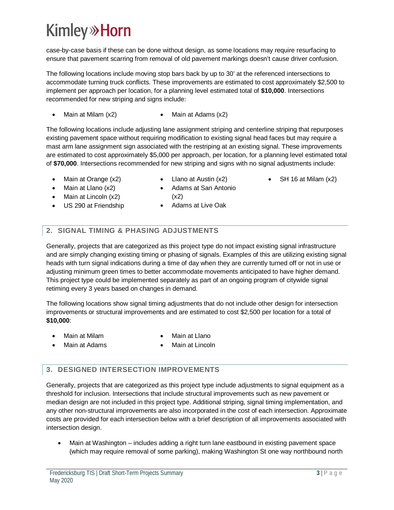### **Kimley»Horn**

case-by-case basis if these can be done without design, as some locations may require resurfacing to ensure that pavement scarring from removal of old pavement markings doesn't cause driver confusion.

The following locations include moving stop bars back by up to 30' at the referenced intersections to accommodate turning truck conflicts. These improvements are estimated to cost approximately \$2,500 to implement per approach per location, for a planning level estimated total of **\$10,000**. Intersections recommended for new striping and signs include:

• Main at Milam  $(x2)$  • Main at Adams  $(x2)$ 

The following locations include adjusting lane assignment striping and centerline striping that repurposes existing pavement space without requiring modification to existing signal head faces but may require a mast arm lane assignment sign associated with the restriping at an existing signal. These improvements are estimated to cost approximately \$5,000 per approach, per location, for a planning level estimated total of **\$70,000**. Intersections recommended for new striping and signs with no signal adjustments include:

- Main at Orange (x2)
- Llano at Austin (x2) · Adams at San Antonio
- SH 16 at Milam (x2)
- Main at Llano (x2) Main at Lincoln (x2)
- US 290 at Friendship
- $(x2)$ Adams at Live Oak

#### **2. SIGNAL TIMING & PHASING ADJUSTMENTS**

Generally, projects that are categorized as this project type do not impact existing signal infrastructure and are simply changing existing timing or phasing of signals. Examples of this are utilizing existing signal heads with turn signal indications during a time of day when they are currently turned off or not in use or adjusting minimum green times to better accommodate movements anticipated to have higher demand. This project type could be implemented separately as part of an ongoing program of citywide signal retiming every 3 years based on changes in demand.

The following locations show signal timing adjustments that do not include other design for intersection improvements or structural improvements and are estimated to cost \$2,500 per location for a total of **\$10,000**:

Main at Milam

Main at Llano

- Main at Adams
- Main at Lincoln

#### **3. DESIGNED INTERSECTION IMPROVEMENTS**

Generally, projects that are categorized as this project type include adjustments to signal equipment as a threshold for inclusion. Intersections that include structural improvements such as new pavement or median design are not included in this project type. Additional striping, signal timing implementation, and any other non-structural improvements are also incorporated in the cost of each intersection. Approximate costs are provided for each intersection below with a brief description of all improvements associated with intersection design.

· Main at Washington – includes adding a right turn lane eastbound in existing pavement space (which may require removal of some parking), making Washington St one way northbound north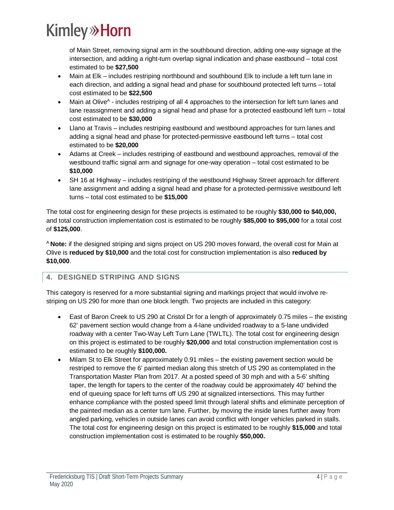### **Kimley» Horn**

of Main Street, removing signal arm in the southbound direction, adding one-way signage at the intersection, and adding a right-turn overlap signal indication and phase eastbound – total cost estimated to be **\$27,500**

- Main at Elk includes restriping northbound and southbound Elk to include a left turn lane in each direction, and adding a signal head and phase for southbound protected left turns – total cost estimated to be **\$22,500**
- Main at Olive<sup>A</sup> includes restriping of all 4 approaches to the intersection for left turn lanes and lane reassignment and adding a signal head and phase for a protected eastbound left turn – total cost estimated to be **\$30,000**
- · Llano at Travis includes restriping eastbound and westbound approaches for turn lanes and adding a signal head and phase for protected-permissive eastbound left turns – total cost estimated to be **\$20,000**
- · Adams at Creek includes restriping of eastbound and westbound approaches, removal of the westbound traffic signal arm and signage for one-way operation – total cost estimated to be **\$10,000**
- · SH 16 at Highway includes restriping of the westbound Highway Street approach for different lane assignment and adding a signal head and phase for a protected-permissive westbound left turns – total cost estimated to be **\$15,000**

The total cost for engineering design for these projects is estimated to be roughly **\$30,000 to \$40,000,** and total construction implementation cost is estimated to be roughly **\$85,000 to \$95,000** for a total cost of **\$125,000**.

<sup>A</sup> **Note:** if the designed striping and signs project on US 290 moves forward, the overall cost for Main at Olive is **reduced by \$10,000** and the total cost for construction implementation is also **reduced by \$10,000**.

#### **4. DESIGNED STRIPING AND SIGNS**

This category is reserved for a more substantial signing and markings project that would involve restriping on US 290 for more than one block length. Two projects are included in this category:

- · East of Baron Creek to US 290 at Cristol Dr for a length of approximately 0.75 miles the existing 62' pavement section would change from a 4-lane undivided roadway to a 5-lane undivided roadway with a center Two-Way Left Turn Lane (TWLTL). The total cost for engineering design on this project is estimated to be roughly **\$20,000** and total construction implementation cost is estimated to be roughly **\$100,000.**
- · Milam St to Elk Street for approximately 0.91 miles the existing pavement section would be restriped to remove the 6' painted median along this stretch of US 290 as contemplated in the Transportation Master Plan from 2017. At a posted speed of 30 mph and with a 5-6' shifting taper, the length for tapers to the center of the roadway could be approximately 40' behind the end of queuing space for left turns off US 290 at signalized intersections. This may further enhance compliance with the posted speed limit through lateral shifts and eliminate perception of the painted median as a center turn lane. Further, by moving the inside lanes further away from angled parking, vehicles in outside lanes can avoid conflict with longer vehicles parked in stalls. The total cost for engineering design on this project is estimated to be roughly **\$15,000** and total construction implementation cost is estimated to be roughly **\$50,000.**